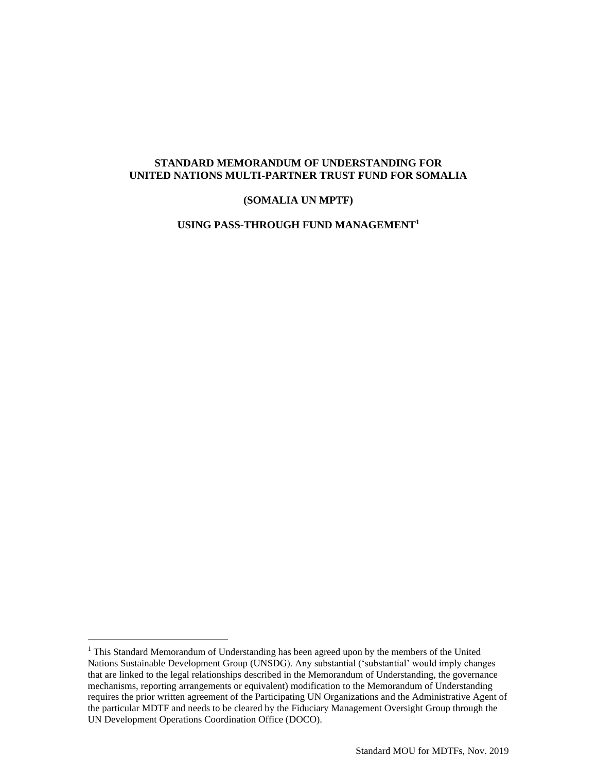### **STANDARD MEMORANDUM OF UNDERSTANDING FOR UNITED NATIONS MULTI-PARTNER TRUST FUND FOR SOMALIA**

#### **(SOMALIA UN MPTF)**

**USING PASS-THROUGH FUND MANAGEMENT<sup>1</sup>**

<sup>&</sup>lt;sup>1</sup> This Standard Memorandum of Understanding has been agreed upon by the members of the United Nations Sustainable Development Group (UNSDG). Any substantial ('substantial' would imply changes that are linked to the legal relationships described in the Memorandum of Understanding, the governance mechanisms, reporting arrangements or equivalent) modification to the Memorandum of Understanding requires the prior written agreement of the Participating UN Organizations and the Administrative Agent of the particular MDTF and needs to be cleared by the Fiduciary Management Oversight Group through the UN Development Operations Coordination Office (DOCO).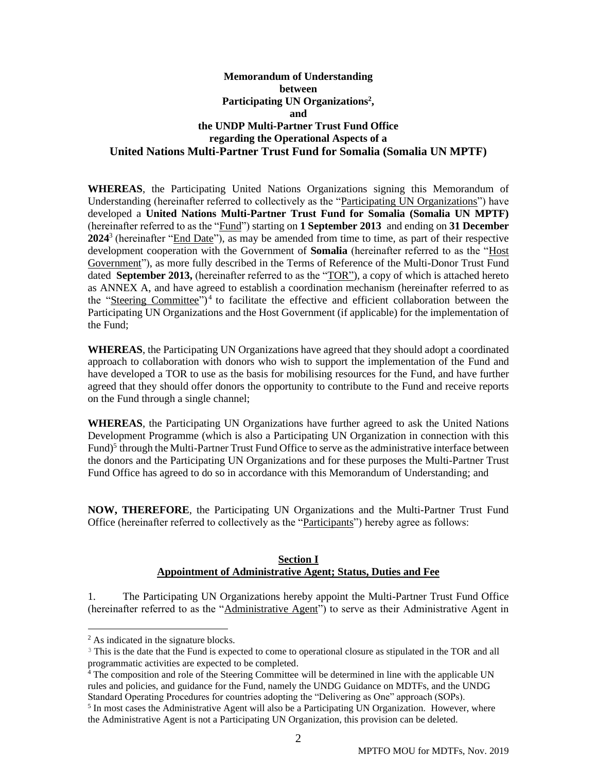## **Memorandum of Understanding between Participating UN Organizations 2 , and the UNDP Multi-Partner Trust Fund Office regarding the Operational Aspects of a United Nations Multi-Partner Trust Fund for Somalia (Somalia UN MPTF)**

**WHEREAS**, the Participating United Nations Organizations signing this Memorandum of Understanding (hereinafter referred to collectively as the "Participating UN Organizations") have developed a **United Nations Multi-Partner Trust Fund for Somalia (Somalia UN MPTF)** (hereinafter referred to as the "Fund") starting on **1 September 2013** and ending on **31 December**  2024<sup>3</sup> (hereinafter "End Date"), as may be amended from time to time, as part of their respective development cooperation with the Government of **Somalia** (hereinafter referred to as the "Host Government"), as more fully described in the Terms of Reference of the Multi-Donor Trust Fund dated **September 2013,** (hereinafter referred to as the "TOR"), a copy of which is attached hereto as ANNEX A, and have agreed to establish a coordination mechanism (hereinafter referred to as the "Steering Committee")<sup>4</sup> to facilitate the effective and efficient collaboration between the Participating UN Organizations and the Host Government (if applicable) for the implementation of the Fund;

**WHEREAS**, the Participating UN Organizations have agreed that they should adopt a coordinated approach to collaboration with donors who wish to support the implementation of the Fund and have developed a TOR to use as the basis for mobilising resources for the Fund, and have further agreed that they should offer donors the opportunity to contribute to the Fund and receive reports on the Fund through a single channel;

**WHEREAS**, the Participating UN Organizations have further agreed to ask the United Nations Development Programme (which is also a Participating UN Organization in connection with this Fund)<sup>5</sup> through the Multi-Partner Trust Fund Office to serve as the administrative interface between the donors and the Participating UN Organizations and for these purposes the Multi-Partner Trust Fund Office has agreed to do so in accordance with this Memorandum of Understanding; and

**NOW, THEREFORE**, the Participating UN Organizations and the Multi-Partner Trust Fund Office (hereinafter referred to collectively as the "Participants") hereby agree as follows:

### **Section I Appointment of Administrative Agent; Status, Duties and Fee**

1. The Participating UN Organizations hereby appoint the Multi-Partner Trust Fund Office (hereinafter referred to as the "Administrative Agent") to serve as their Administrative Agent in

<sup>4</sup> The composition and role of the Steering Committee will be determined in line with the applicable UN rules and policies, and guidance for the Fund, namely the UNDG Guidance on MDTFs, and the UNDG Standard Operating Procedures for countries adopting the "Delivering as One" approach (SOPs).

 $<sup>2</sup>$  As indicated in the signature blocks.</sup>

<sup>3</sup> This is the date that the Fund is expected to come to operational closure as stipulated in the TOR and all programmatic activities are expected to be completed.

<sup>&</sup>lt;sup>5</sup> In most cases the Administrative Agent will also be a Participating UN Organization. However, where the Administrative Agent is not a Participating UN Organization, this provision can be deleted.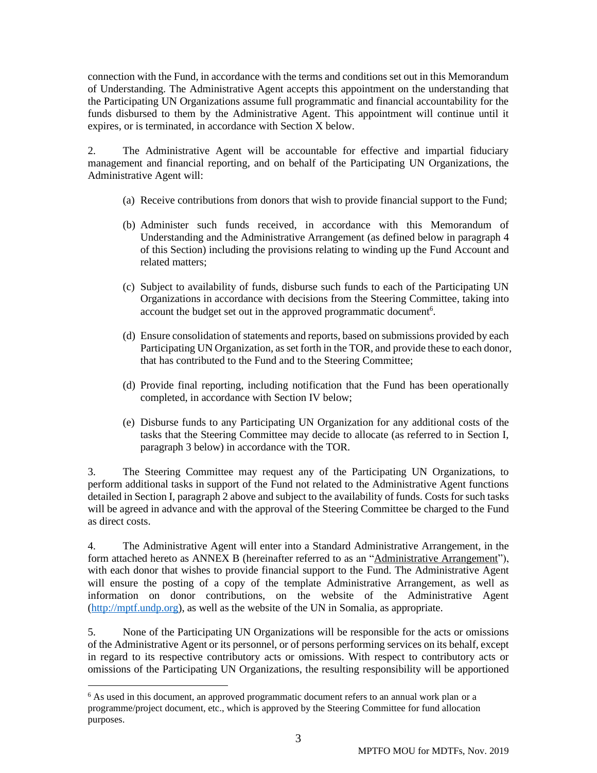connection with the Fund, in accordance with the terms and conditions set out in this Memorandum of Understanding. The Administrative Agent accepts this appointment on the understanding that the Participating UN Organizations assume full programmatic and financial accountability for the funds disbursed to them by the Administrative Agent. This appointment will continue until it expires, or is terminated, in accordance with Section X below.

2. The Administrative Agent will be accountable for effective and impartial fiduciary management and financial reporting, and on behalf of the Participating UN Organizations, the Administrative Agent will:

- (a) Receive contributions from donors that wish to provide financial support to the Fund;
- (b) Administer such funds received, in accordance with this Memorandum of Understanding and the Administrative Arrangement (as defined below in paragraph 4 of this Section) including the provisions relating to winding up the Fund Account and related matters;
- (c) Subject to availability of funds, disburse such funds to each of the Participating UN Organizations in accordance with decisions from the Steering Committee, taking into account the budget set out in the approved programmatic document<sup>6</sup>.
- (d) Ensure consolidation of statements and reports, based on submissions provided by each Participating UN Organization, as set forth in the TOR, and provide these to each donor, that has contributed to the Fund and to the Steering Committee;
- (d) Provide final reporting, including notification that the Fund has been operationally completed, in accordance with Section IV below;
- (e) Disburse funds to any Participating UN Organization for any additional costs of the tasks that the Steering Committee may decide to allocate (as referred to in Section I, paragraph 3 below) in accordance with the TOR.

3. The Steering Committee may request any of the Participating UN Organizations, to perform additional tasks in support of the Fund not related to the Administrative Agent functions detailed in Section I, paragraph 2 above and subject to the availability of funds. Costs for such tasks will be agreed in advance and with the approval of the Steering Committee be charged to the Fund as direct costs.

4. The Administrative Agent will enter into a Standard Administrative Arrangement, in the form attached hereto as ANNEX B (hereinafter referred to as an "Administrative Arrangement"), with each donor that wishes to provide financial support to the Fund. The Administrative Agent will ensure the posting of a copy of the template Administrative Arrangement, as well as information on donor contributions, on the website of the Administrative Agent [\(http://mptf.undp.org\)](http://mptf.undp.org/), as well as the website of the UN in Somalia, as appropriate.

5. None of the Participating UN Organizations will be responsible for the acts or omissions of the Administrative Agent or its personnel, or of persons performing services on its behalf, except in regard to its respective contributory acts or omissions. With respect to contributory acts or omissions of the Participating UN Organizations, the resulting responsibility will be apportioned

<sup>&</sup>lt;sup>6</sup> As used in this document, an approved programmatic document refers to an annual work plan or a programme/project document, etc., which is approved by the Steering Committee for fund allocation purposes.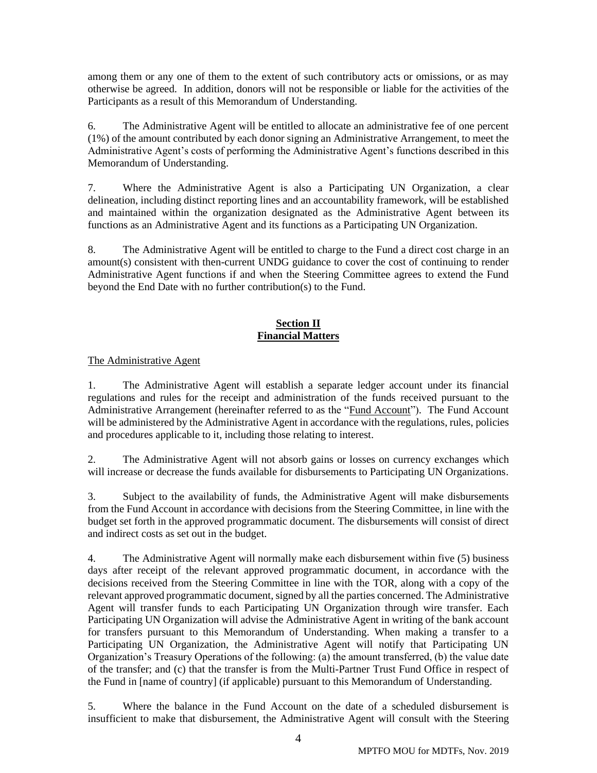among them or any one of them to the extent of such contributory acts or omissions, or as may otherwise be agreed. In addition, donors will not be responsible or liable for the activities of the Participants as a result of this Memorandum of Understanding.

6. The Administrative Agent will be entitled to allocate an administrative fee of one percent (1%) of the amount contributed by each donor signing an Administrative Arrangement, to meet the Administrative Agent's costs of performing the Administrative Agent's functions described in this Memorandum of Understanding.

7. Where the Administrative Agent is also a Participating UN Organization, a clear delineation, including distinct reporting lines and an accountability framework, will be established and maintained within the organization designated as the Administrative Agent between its functions as an Administrative Agent and its functions as a Participating UN Organization.

8. The Administrative Agent will be entitled to charge to the Fund a direct cost charge in an amount(s) consistent with then-current UNDG guidance to cover the cost of continuing to render Administrative Agent functions if and when the Steering Committee agrees to extend the Fund beyond the End Date with no further contribution(s) to the Fund.

# **Section II Financial Matters**

The Administrative Agent

1. The Administrative Agent will establish a separate ledger account under its financial regulations and rules for the receipt and administration of the funds received pursuant to the Administrative Arrangement (hereinafter referred to as the "Fund Account"). The Fund Account will be administered by the Administrative Agent in accordance with the regulations, rules, policies and procedures applicable to it, including those relating to interest.

2. The Administrative Agent will not absorb gains or losses on currency exchanges which will increase or decrease the funds available for disbursements to Participating UN Organizations.

3. Subject to the availability of funds, the Administrative Agent will make disbursements from the Fund Account in accordance with decisions from the Steering Committee, in line with the budget set forth in the approved programmatic document. The disbursements will consist of direct and indirect costs as set out in the budget.

4. The Administrative Agent will normally make each disbursement within five (5) business days after receipt of the relevant approved programmatic document, in accordance with the decisions received from the Steering Committee in line with the TOR, along with a copy of the relevant approved programmatic document, signed by all the parties concerned. The Administrative Agent will transfer funds to each Participating UN Organization through wire transfer. Each Participating UN Organization will advise the Administrative Agent in writing of the bank account for transfers pursuant to this Memorandum of Understanding. When making a transfer to a Participating UN Organization, the Administrative Agent will notify that Participating UN Organization's Treasury Operations of the following: (a) the amount transferred, (b) the value date of the transfer; and (c) that the transfer is from the Multi-Partner Trust Fund Office in respect of the Fund in [name of country] (if applicable) pursuant to this Memorandum of Understanding.

5. Where the balance in the Fund Account on the date of a scheduled disbursement is insufficient to make that disbursement, the Administrative Agent will consult with the Steering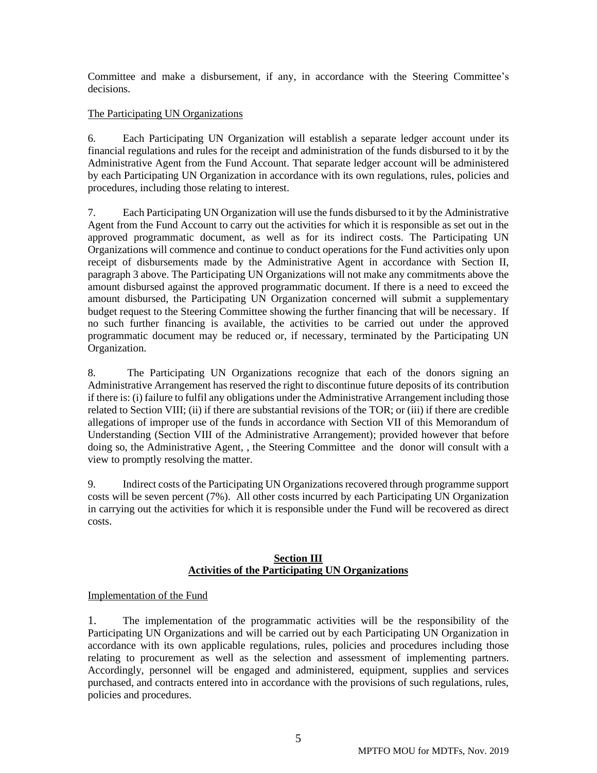Committee and make a disbursement, if any, in accordance with the Steering Committee's decisions.

# The Participating UN Organizations

6. Each Participating UN Organization will establish a separate ledger account under its financial regulations and rules for the receipt and administration of the funds disbursed to it by the Administrative Agent from the Fund Account. That separate ledger account will be administered by each Participating UN Organization in accordance with its own regulations, rules, policies and procedures, including those relating to interest.

7. Each Participating UN Organization will use the funds disbursed to it by the Administrative Agent from the Fund Account to carry out the activities for which it is responsible as set out in the approved programmatic document, as well as for its indirect costs. The Participating UN Organizations will commence and continue to conduct operations for the Fund activities only upon receipt of disbursements made by the Administrative Agent in accordance with Section II, paragraph 3 above. The Participating UN Organizations will not make any commitments above the amount disbursed against the approved programmatic document. If there is a need to exceed the amount disbursed, the Participating UN Organization concerned will submit a supplementary budget request to the Steering Committee showing the further financing that will be necessary. If no such further financing is available, the activities to be carried out under the approved programmatic document may be reduced or, if necessary, terminated by the Participating UN Organization.

8. The Participating UN Organizations recognize that each of the donors signing an Administrative Arrangement has reserved the right to discontinue future deposits of its contribution if there is: (i) failure to fulfil any obligations under the Administrative Arrangement including those related to Section VIII; (ii) if there are substantial revisions of the TOR; or (iii) if there are credible allegations of improper use of the funds in accordance with Section VII of this Memorandum of Understanding (Section VIII of the Administrative Arrangement); provided however that before doing so, the Administrative Agent, , the Steering Committee and the donor will consult with a view to promptly resolving the matter.

9. Indirect costs of the Participating UN Organizations recovered through programme support costs will be seven percent (7%). All other costs incurred by each Participating UN Organization in carrying out the activities for which it is responsible under the Fund will be recovered as direct costs.

# **Section III Activities of the Participating UN Organizations**

### Implementation of the Fund

1. The implementation of the programmatic activities will be the responsibility of the Participating UN Organizations and will be carried out by each Participating UN Organization in accordance with its own applicable regulations, rules, policies and procedures including those relating to procurement as well as the selection and assessment of implementing partners. Accordingly, personnel will be engaged and administered, equipment, supplies and services purchased, and contracts entered into in accordance with the provisions of such regulations, rules, policies and procedures.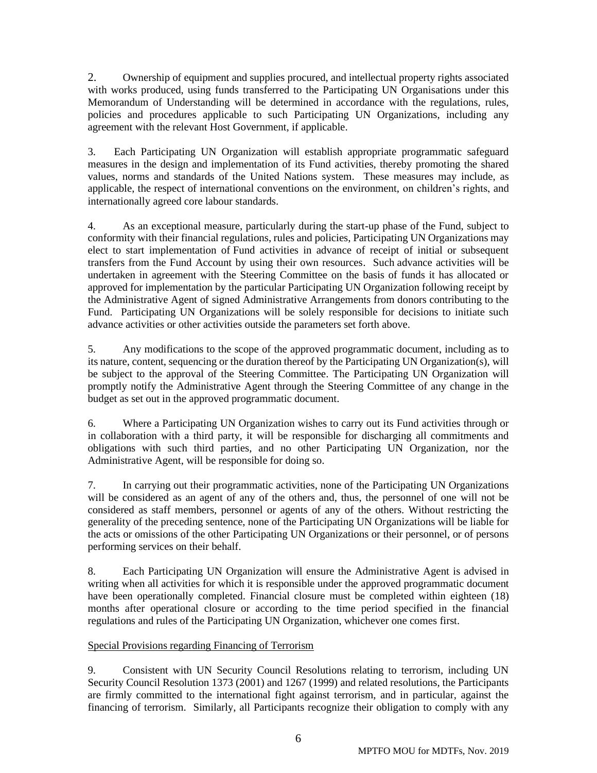2. Ownership of equipment and supplies procured, and intellectual property rights associated with works produced, using funds transferred to the Participating UN Organisations under this Memorandum of Understanding will be determined in accordance with the regulations, rules, policies and procedures applicable to such Participating UN Organizations, including any agreement with the relevant Host Government, if applicable.

3. Each Participating UN Organization will establish appropriate programmatic safeguard measures in the design and implementation of its Fund activities, thereby promoting the shared values, norms and standards of the United Nations system. These measures may include, as applicable, the respect of international conventions on the environment, on children's rights, and internationally agreed core labour standards.

4. As an exceptional measure, particularly during the start-up phase of the Fund, subject to conformity with their financial regulations, rules and policies, Participating UN Organizations may elect to start implementation of Fund activities in advance of receipt of initial or subsequent transfers from the Fund Account by using their own resources. Such advance activities will be undertaken in agreement with the Steering Committee on the basis of funds it has allocated or approved for implementation by the particular Participating UN Organization following receipt by the Administrative Agent of signed Administrative Arrangements from donors contributing to the Fund. Participating UN Organizations will be solely responsible for decisions to initiate such advance activities or other activities outside the parameters set forth above.

5. Any modifications to the scope of the approved programmatic document, including as to its nature, content, sequencing or the duration thereof by the Participating UN Organization(s), will be subject to the approval of the Steering Committee. The Participating UN Organization will promptly notify the Administrative Agent through the Steering Committee of any change in the budget as set out in the approved programmatic document.

6. Where a Participating UN Organization wishes to carry out its Fund activities through or in collaboration with a third party, it will be responsible for discharging all commitments and obligations with such third parties, and no other Participating UN Organization, nor the Administrative Agent, will be responsible for doing so.

7. In carrying out their programmatic activities, none of the Participating UN Organizations will be considered as an agent of any of the others and, thus, the personnel of one will not be considered as staff members, personnel or agents of any of the others. Without restricting the generality of the preceding sentence, none of the Participating UN Organizations will be liable for the acts or omissions of the other Participating UN Organizations or their personnel, or of persons performing services on their behalf.

8. Each Participating UN Organization will ensure the Administrative Agent is advised in writing when all activities for which it is responsible under the approved programmatic document have been operationally completed. Financial closure must be completed within eighteen (18) months after operational closure or according to the time period specified in the financial regulations and rules of the Participating UN Organization, whichever one comes first.

# Special Provisions regarding Financing of Terrorism

9. Consistent with UN Security Council Resolutions relating to terrorism, including UN Security Council Resolution 1373 (2001) and 1267 (1999) and related resolutions, the Participants are firmly committed to the international fight against terrorism, and in particular, against the financing of terrorism. Similarly, all Participants recognize their obligation to comply with any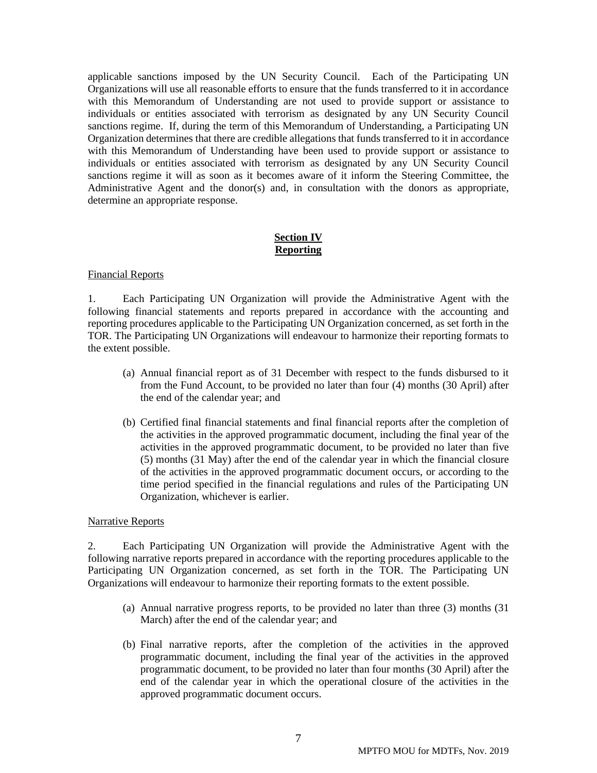applicable sanctions imposed by the UN Security Council. Each of the Participating UN Organizations will use all reasonable efforts to ensure that the funds transferred to it in accordance with this Memorandum of Understanding are not used to provide support or assistance to individuals or entities associated with terrorism as designated by any UN Security Council sanctions regime. If, during the term of this Memorandum of Understanding, a Participating UN Organization determines that there are credible allegations that funds transferred to it in accordance with this Memorandum of Understanding have been used to provide support or assistance to individuals or entities associated with terrorism as designated by any UN Security Council sanctions regime it will as soon as it becomes aware of it inform the Steering Committee, the Administrative Agent and the donor(s) and, in consultation with the donors as appropriate, determine an appropriate response.

# **Section IV Reporting**

#### Financial Reports

1. Each Participating UN Organization will provide the Administrative Agent with the following financial statements and reports prepared in accordance with the accounting and reporting procedures applicable to the Participating UN Organization concerned, as set forth in the TOR. The Participating UN Organizations will endeavour to harmonize their reporting formats to the extent possible.

- (a) Annual financial report as of 31 December with respect to the funds disbursed to it from the Fund Account, to be provided no later than four (4) months (30 April) after the end of the calendar year; and
- (b) Certified final financial statements and final financial reports after the completion of the activities in the approved programmatic document, including the final year of the activities in the approved programmatic document, to be provided no later than five (5) months (31 May) after the end of the calendar year in which the financial closure of the activities in the approved programmatic document occurs, or according to the time period specified in the financial regulations and rules of the Participating UN Organization, whichever is earlier.

#### Narrative Reports

2. Each Participating UN Organization will provide the Administrative Agent with the following narrative reports prepared in accordance with the reporting procedures applicable to the Participating UN Organization concerned, as set forth in the TOR. The Participating UN Organizations will endeavour to harmonize their reporting formats to the extent possible.

- (a) Annual narrative progress reports, to be provided no later than three (3) months (31 March) after the end of the calendar year; and
- (b) Final narrative reports, after the completion of the activities in the approved programmatic document, including the final year of the activities in the approved programmatic document, to be provided no later than four months (30 April) after the end of the calendar year in which the operational closure of the activities in the approved programmatic document occurs.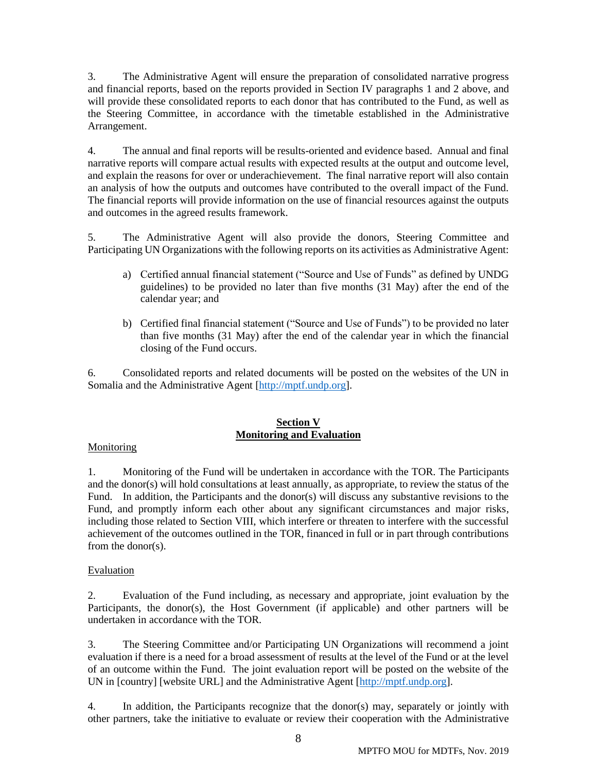3. The Administrative Agent will ensure the preparation of consolidated narrative progress and financial reports, based on the reports provided in Section IV paragraphs 1 and 2 above, and will provide these consolidated reports to each donor that has contributed to the Fund, as well as the Steering Committee, in accordance with the timetable established in the Administrative Arrangement.

4. The annual and final reports will be results-oriented and evidence based. Annual and final narrative reports will compare actual results with expected results at the output and outcome level, and explain the reasons for over or underachievement. The final narrative report will also contain an analysis of how the outputs and outcomes have contributed to the overall impact of the Fund. The financial reports will provide information on the use of financial resources against the outputs and outcomes in the agreed results framework.

5. The Administrative Agent will also provide the donors, Steering Committee and Participating UN Organizations with the following reports on its activities as Administrative Agent:

- a) Certified annual financial statement ("Source and Use of Funds" as defined by UNDG guidelines) to be provided no later than five months (31 May) after the end of the calendar year; and
- b) Certified final financial statement ("Source and Use of Funds") to be provided no later than five months (31 May) after the end of the calendar year in which the financial closing of the Fund occurs.

6. Consolidated reports and related documents will be posted on the websites of the UN in Somalia and the Administrative Agent [\[http://mptf.undp.org\]](http://mptf.undp.org/).

# **Section V Monitoring and Evaluation**

### Monitoring

1. Monitoring of the Fund will be undertaken in accordance with the TOR. The Participants and the donor(s) will hold consultations at least annually, as appropriate, to review the status of the Fund. In addition, the Participants and the donor(s) will discuss any substantive revisions to the Fund, and promptly inform each other about any significant circumstances and major risks, including those related to Section VIII, which interfere or threaten to interfere with the successful achievement of the outcomes outlined in the TOR, financed in full or in part through contributions from the donor(s).

### Evaluation

2. Evaluation of the Fund including, as necessary and appropriate, joint evaluation by the Participants, the donor(s), the Host Government (if applicable) and other partners will be undertaken in accordance with the TOR.

3. The Steering Committee and/or Participating UN Organizations will recommend a joint evaluation if there is a need for a broad assessment of results at the level of the Fund or at the level of an outcome within the Fund. The joint evaluation report will be posted on the website of the UN in [country] [website URL] and the Administrative Agent [\[http://mptf.undp.org\]](http://mptf.undp.org/).

4. In addition, the Participants recognize that the donor(s) may, separately or jointly with other partners, take the initiative to evaluate or review their cooperation with the Administrative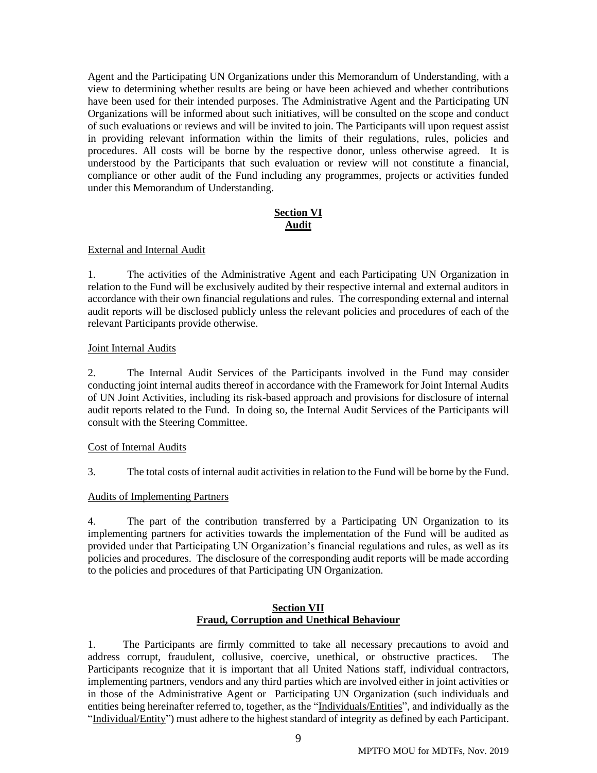Agent and the Participating UN Organizations under this Memorandum of Understanding, with a view to determining whether results are being or have been achieved and whether contributions have been used for their intended purposes. The Administrative Agent and the Participating UN Organizations will be informed about such initiatives, will be consulted on the scope and conduct of such evaluations or reviews and will be invited to join. The Participants will upon request assist in providing relevant information within the limits of their regulations, rules, policies and procedures. All costs will be borne by the respective donor, unless otherwise agreed. It is understood by the Participants that such evaluation or review will not constitute a financial, compliance or other audit of the Fund including any programmes, projects or activities funded under this Memorandum of Understanding.

# **Section VI Audit**

### External and Internal Audit

1. The activities of the Administrative Agent and each Participating UN Organization in relation to the Fund will be exclusively audited by their respective internal and external auditors in accordance with their own financial regulations and rules. The corresponding external and internal audit reports will be disclosed publicly unless the relevant policies and procedures of each of the relevant Participants provide otherwise.

#### Joint Internal Audits

2. The Internal Audit Services of the Participants involved in the Fund may consider conducting joint internal audits thereof in accordance with the Framework for Joint Internal Audits of UN Joint Activities, including its risk-based approach and provisions for disclosure of internal audit reports related to the Fund. In doing so, the Internal Audit Services of the Participants will consult with the Steering Committee.

#### Cost of Internal Audits

3. The total costs of internal audit activities in relation to the Fund will be borne by the Fund.

### Audits of Implementing Partners

4. The part of the contribution transferred by a Participating UN Organization to its implementing partners for activities towards the implementation of the Fund will be audited as provided under that Participating UN Organization's financial regulations and rules, as well as its policies and procedures. The disclosure of the corresponding audit reports will be made according to the policies and procedures of that Participating UN Organization.

### **Section VII Fraud, Corruption and Unethical Behaviour**

1. The Participants are firmly committed to take all necessary precautions to avoid and address corrupt, fraudulent, collusive, coercive, unethical, or obstructive practices. The Participants recognize that it is important that all United Nations staff, individual contractors, implementing partners, vendors and any third parties which are involved either in joint activities or in those of the Administrative Agent or Participating UN Organization (such individuals and entities being hereinafter referred to, together, as the "Individuals/Entities", and individually as the "Individual/Entity") must adhere to the highest standard of integrity as defined by each Participant.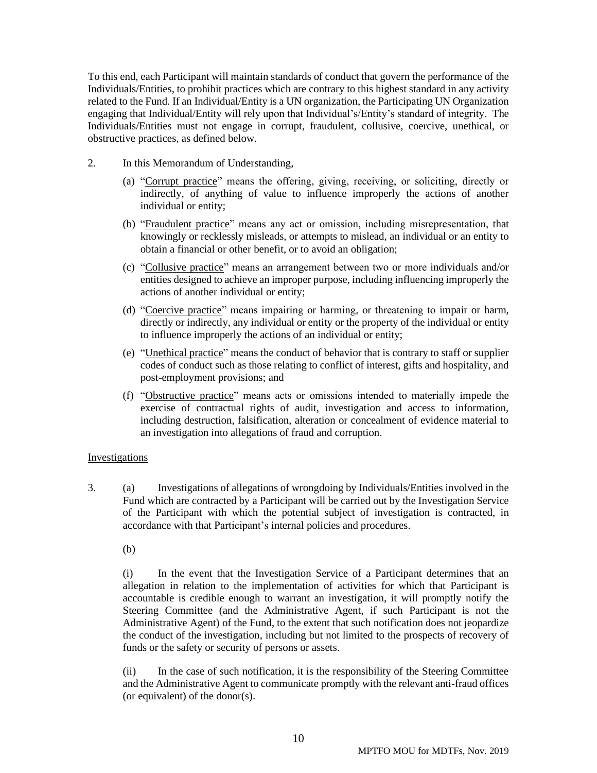To this end, each Participant will maintain standards of conduct that govern the performance of the Individuals/Entities, to prohibit practices which are contrary to this highest standard in any activity related to the Fund. If an Individual/Entity is a UN organization, the Participating UN Organization engaging that Individual/Entity will rely upon that Individual's/Entity's standard of integrity. The Individuals/Entities must not engage in corrupt, fraudulent, collusive, coercive, unethical, or obstructive practices, as defined below.

- 2. In this Memorandum of Understanding,
	- (a) "Corrupt practice" means the offering, giving, receiving, or soliciting, directly or indirectly, of anything of value to influence improperly the actions of another individual or entity;
	- (b) "Fraudulent practice" means any act or omission, including misrepresentation, that knowingly or recklessly misleads, or attempts to mislead, an individual or an entity to obtain a financial or other benefit, or to avoid an obligation;
	- (c) "Collusive practice" means an arrangement between two or more individuals and/or entities designed to achieve an improper purpose, including influencing improperly the actions of another individual or entity;
	- (d) "Coercive practice" means impairing or harming, or threatening to impair or harm, directly or indirectly, any individual or entity or the property of the individual or entity to influence improperly the actions of an individual or entity;
	- (e) "Unethical practice" means the conduct of behavior that is contrary to staff or supplier codes of conduct such as those relating to conflict of interest, gifts and hospitality, and post-employment provisions; and
	- (f) "Obstructive practice" means acts or omissions intended to materially impede the exercise of contractual rights of audit, investigation and access to information, including destruction, falsification, alteration or concealment of evidence material to an investigation into allegations of fraud and corruption.

### Investigations

- 3. (a) Investigations of allegations of wrongdoing by Individuals/Entities involved in the Fund which are contracted by a Participant will be carried out by the Investigation Service of the Participant with which the potential subject of investigation is contracted, in accordance with that Participant's internal policies and procedures.
	- (b)

(i) In the event that the Investigation Service of a Participant determines that an allegation in relation to the implementation of activities for which that Participant is accountable is credible enough to warrant an investigation, it will promptly notify the Steering Committee (and the Administrative Agent, if such Participant is not the Administrative Agent) of the Fund, to the extent that such notification does not jeopardize the conduct of the investigation, including but not limited to the prospects of recovery of funds or the safety or security of persons or assets.

(ii) In the case of such notification, it is the responsibility of the Steering Committee and the Administrative Agent to communicate promptly with the relevant anti-fraud offices (or equivalent) of the donor(s).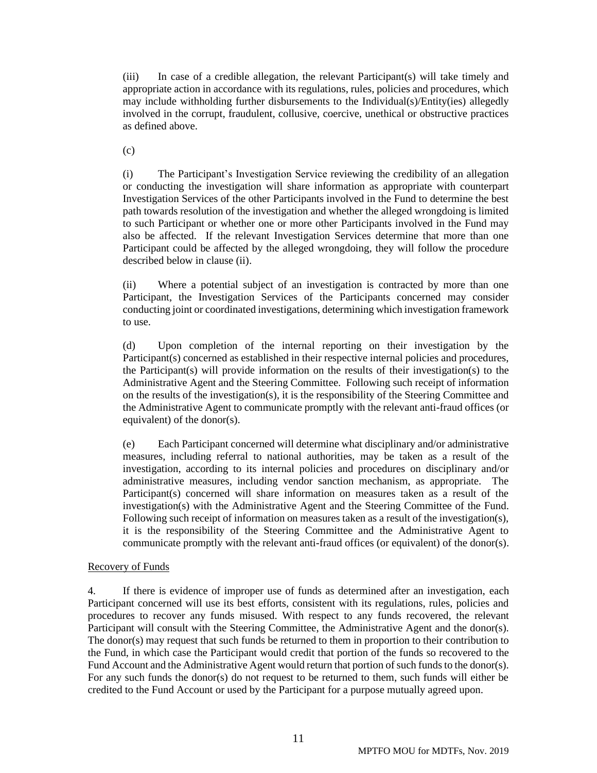(iii) In case of a credible allegation, the relevant Participant(s) will take timely and appropriate action in accordance with its regulations, rules, policies and procedures, which may include withholding further disbursements to the Individual(s)/Entity(ies) allegedly involved in the corrupt, fraudulent, collusive, coercive, unethical or obstructive practices as defined above.

(c)

(i) The Participant's Investigation Service reviewing the credibility of an allegation or conducting the investigation will share information as appropriate with counterpart Investigation Services of the other Participants involved in the Fund to determine the best path towards resolution of the investigation and whether the alleged wrongdoing is limited to such Participant or whether one or more other Participants involved in the Fund may also be affected. If the relevant Investigation Services determine that more than one Participant could be affected by the alleged wrongdoing, they will follow the procedure described below in clause (ii).

(ii) Where a potential subject of an investigation is contracted by more than one Participant, the Investigation Services of the Participants concerned may consider conducting joint or coordinated investigations, determining which investigation framework to use.

(d) Upon completion of the internal reporting on their investigation by the Participant(s) concerned as established in their respective internal policies and procedures, the Participant(s) will provide information on the results of their investigation(s) to the Administrative Agent and the Steering Committee. Following such receipt of information on the results of the investigation(s), it is the responsibility of the Steering Committee and the Administrative Agent to communicate promptly with the relevant anti-fraud offices (or equivalent) of the donor(s).

(e) Each Participant concerned will determine what disciplinary and/or administrative measures, including referral to national authorities, may be taken as a result of the investigation, according to its internal policies and procedures on disciplinary and/or administrative measures, including vendor sanction mechanism, as appropriate. The Participant(s) concerned will share information on measures taken as a result of the investigation(s) with the Administrative Agent and the Steering Committee of the Fund. Following such receipt of information on measures taken as a result of the investigation(s), it is the responsibility of the Steering Committee and the Administrative Agent to communicate promptly with the relevant anti-fraud offices (or equivalent) of the donor(s).

# Recovery of Funds

4. If there is evidence of improper use of funds as determined after an investigation, each Participant concerned will use its best efforts, consistent with its regulations, rules, policies and procedures to recover any funds misused. With respect to any funds recovered, the relevant Participant will consult with the Steering Committee, the Administrative Agent and the donor(s). The donor(s) may request that such funds be returned to them in proportion to their contribution to the Fund, in which case the Participant would credit that portion of the funds so recovered to the Fund Account and the Administrative Agent would return that portion of such funds to the donor(s). For any such funds the donor(s) do not request to be returned to them, such funds will either be credited to the Fund Account or used by the Participant for a purpose mutually agreed upon.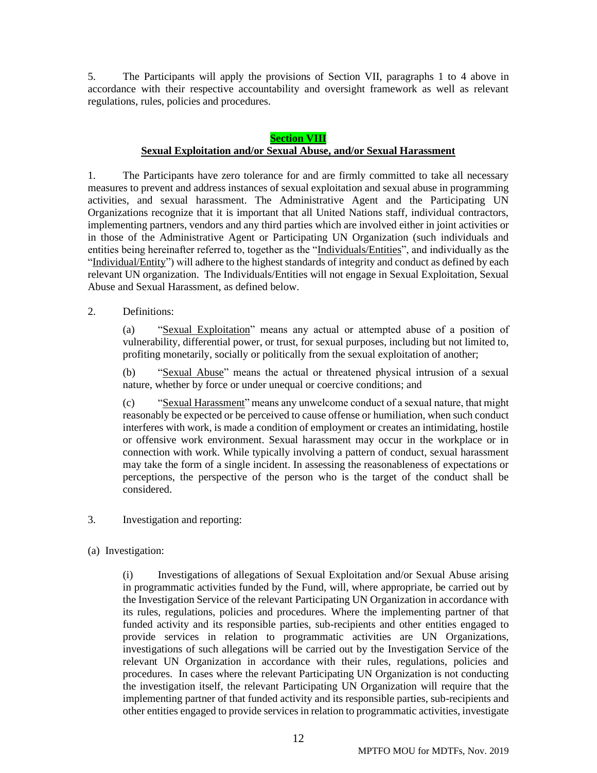5. The Participants will apply the provisions of Section VII, paragraphs 1 to 4 above in accordance with their respective accountability and oversight framework as well as relevant regulations, rules, policies and procedures.

#### **Section VIII**

# **Sexual Exploitation and/or Sexual Abuse, and/or Sexual Harassment**

1. The Participants have zero tolerance for and are firmly committed to take all necessary measures to prevent and address instances of sexual exploitation and sexual abuse in programming activities, and sexual harassment. The Administrative Agent and the Participating UN Organizations recognize that it is important that all United Nations staff, individual contractors, implementing partners, vendors and any third parties which are involved either in joint activities or in those of the Administrative Agent or Participating UN Organization (such individuals and entities being hereinafter referred to, together as the "Individuals/Entities", and individually as the "Individual/Entity") will adhere to the highest standards of integrity and conduct as defined by each relevant UN organization. The Individuals/Entities will not engage in Sexual Exploitation, Sexual Abuse and Sexual Harassment, as defined below.

2. Definitions:

(a) "Sexual Exploitation" means any actual or attempted abuse of a position of vulnerability, differential power, or trust, for sexual purposes, including but not limited to, profiting monetarily, socially or politically from the sexual exploitation of another;

(b) "Sexual Abuse" means the actual or threatened physical intrusion of a sexual nature, whether by force or under unequal or coercive conditions; and

(c) "Sexual Harassment" means any unwelcome conduct of a sexual nature, that might reasonably be expected or be perceived to cause offense or humiliation, when such conduct interferes with work, is made a condition of employment or creates an intimidating, hostile or offensive work environment. Sexual harassment may occur in the workplace or in connection with work. While typically involving a pattern of conduct, sexual harassment may take the form of a single incident. In assessing the reasonableness of expectations or perceptions, the perspective of the person who is the target of the conduct shall be considered.

- 3. Investigation and reporting:
- (a) Investigation:

(i) Investigations of allegations of Sexual Exploitation and/or Sexual Abuse arising in programmatic activities funded by the Fund, will, where appropriate, be carried out by the Investigation Service of the relevant Participating UN Organization in accordance with its rules, regulations, policies and procedures. Where the implementing partner of that funded activity and its responsible parties, sub-recipients and other entities engaged to provide services in relation to programmatic activities are UN Organizations, investigations of such allegations will be carried out by the Investigation Service of the relevant UN Organization in accordance with their rules, regulations, policies and procedures. In cases where the relevant Participating UN Organization is not conducting the investigation itself, the relevant Participating UN Organization will require that the implementing partner of that funded activity and its responsible parties, sub-recipients and other entities engaged to provide services in relation to programmatic activities, investigate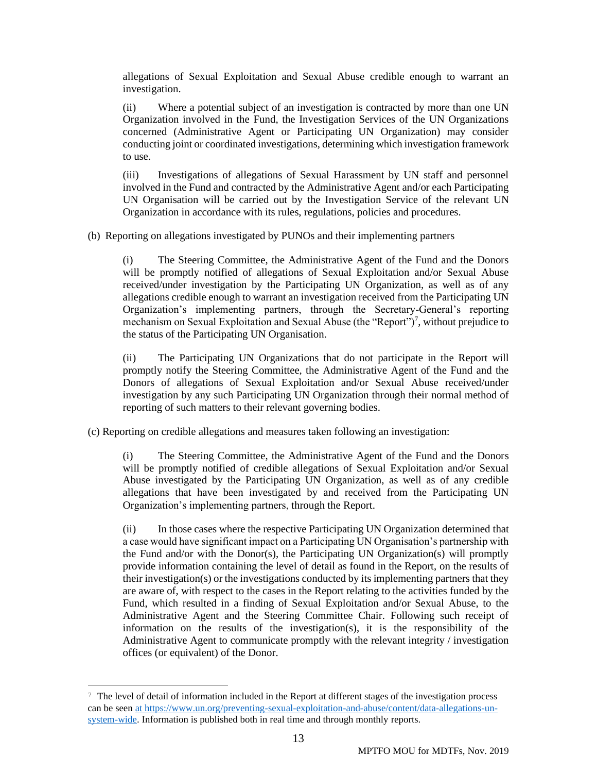allegations of Sexual Exploitation and Sexual Abuse credible enough to warrant an investigation.

(ii) Where a potential subject of an investigation is contracted by more than one UN Organization involved in the Fund, the Investigation Services of the UN Organizations concerned (Administrative Agent or Participating UN Organization) may consider conducting joint or coordinated investigations, determining which investigation framework to use.

(iii) Investigations of allegations of Sexual Harassment by UN staff and personnel involved in the Fund and contracted by the Administrative Agent and/or each Participating UN Organisation will be carried out by the Investigation Service of the relevant UN Organization in accordance with its rules, regulations, policies and procedures.

(b) Reporting on allegations investigated by PUNOs and their implementing partners

(i) The Steering Committee, the Administrative Agent of the Fund and the Donors will be promptly notified of allegations of Sexual Exploitation and/or Sexual Abuse received/under investigation by the Participating UN Organization, as well as of any allegations credible enough to warrant an investigation received from the Participating UN Organization's implementing partners, through the Secretary-General's reporting mechanism on Sexual Exploitation and Sexual Abuse (the "Report")<sup>7</sup>, without prejudice to the status of the Participating UN Organisation.

(ii) The Participating UN Organizations that do not participate in the Report will promptly notify the Steering Committee, the Administrative Agent of the Fund and the Donors of allegations of Sexual Exploitation and/or Sexual Abuse received/under investigation by any such Participating UN Organization through their normal method of reporting of such matters to their relevant governing bodies.

(c) Reporting on credible allegations and measures taken following an investigation:

(i) The Steering Committee, the Administrative Agent of the Fund and the Donors will be promptly notified of credible allegations of Sexual Exploitation and/or Sexual Abuse investigated by the Participating UN Organization, as well as of any credible allegations that have been investigated by and received from the Participating UN Organization's implementing partners, through the Report.

(ii) In those cases where the respective Participating UN Organization determined that a case would have significant impact on a Participating UN Organisation's partnership with the Fund and/or with the Donor(s), the Participating UN Organization(s) will promptly provide information containing the level of detail as found in the Report, on the results of their investigation(s) or the investigations conducted by its implementing partners that they are aware of, with respect to the cases in the Report relating to the activities funded by the Fund, which resulted in a finding of Sexual Exploitation and/or Sexual Abuse, to the Administrative Agent and the Steering Committee Chair. Following such receipt of information on the results of the investigation(s), it is the responsibility of the Administrative Agent to communicate promptly with the relevant integrity / investigation offices (or equivalent) of the Donor.

<sup>7</sup> The level of detail of information included in the Report at different stages of the investigation process can be see[n at https://www.un.org/preventing-sexual-exploitation-and-abuse/content/data-allegations-un](https://www.un.org/preventing-sexual-exploitation-and-abuse/content/data-allegations-un-system-wide)[system-wide.](https://www.un.org/preventing-sexual-exploitation-and-abuse/content/data-allegations-un-system-wide) Information is published both in real time and through monthly reports.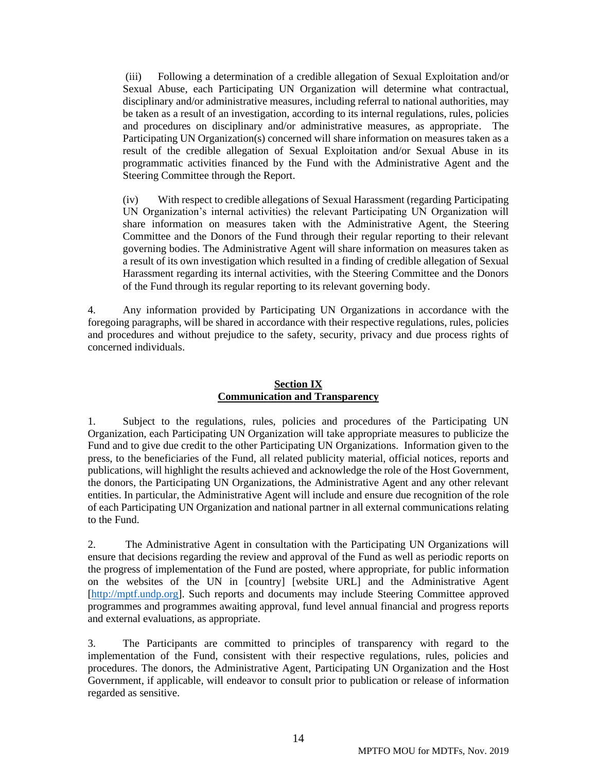(iii) Following a determination of a credible allegation of Sexual Exploitation and/or Sexual Abuse, each Participating UN Organization will determine what contractual, disciplinary and/or administrative measures, including referral to national authorities, may be taken as a result of an investigation, according to its internal regulations, rules, policies and procedures on disciplinary and/or administrative measures, as appropriate. The Participating UN Organization(s) concerned will share information on measures taken as a result of the credible allegation of Sexual Exploitation and/or Sexual Abuse in its programmatic activities financed by the Fund with the Administrative Agent and the Steering Committee through the Report.

(iv) With respect to credible allegations of Sexual Harassment (regarding Participating UN Organization's internal activities) the relevant Participating UN Organization will share information on measures taken with the Administrative Agent, the Steering Committee and the Donors of the Fund through their regular reporting to their relevant governing bodies. The Administrative Agent will share information on measures taken as a result of its own investigation which resulted in a finding of credible allegation of Sexual Harassment regarding its internal activities, with the Steering Committee and the Donors of the Fund through its regular reporting to its relevant governing body.

4. Any information provided by Participating UN Organizations in accordance with the foregoing paragraphs, will be shared in accordance with their respective regulations, rules, policies and procedures and without prejudice to the safety, security, privacy and due process rights of concerned individuals.

# **Section IX Communication and Transparency**

1. Subject to the regulations, rules, policies and procedures of the Participating UN Organization, each Participating UN Organization will take appropriate measures to publicize the Fund and to give due credit to the other Participating UN Organizations. Information given to the press, to the beneficiaries of the Fund, all related publicity material, official notices, reports and publications, will highlight the results achieved and acknowledge the role of the Host Government, the donors, the Participating UN Organizations, the Administrative Agent and any other relevant entities. In particular, the Administrative Agent will include and ensure due recognition of the role of each Participating UN Organization and national partner in all external communications relating to the Fund.

2. The Administrative Agent in consultation with the Participating UN Organizations will ensure that decisions regarding the review and approval of the Fund as well as periodic reports on the progress of implementation of the Fund are posted, where appropriate, for public information on the websites of the UN in [country] [website URL] and the Administrative Agent [\[http://mptf.undp.org\]](http://mptf.undp.org/). Such reports and documents may include Steering Committee approved programmes and programmes awaiting approval, fund level annual financial and progress reports and external evaluations, as appropriate.

3. The Participants are committed to principles of transparency with regard to the implementation of the Fund, consistent with their respective regulations, rules, policies and procedures. The donors, the Administrative Agent, Participating UN Organization and the Host Government, if applicable, will endeavor to consult prior to publication or release of information regarded as sensitive.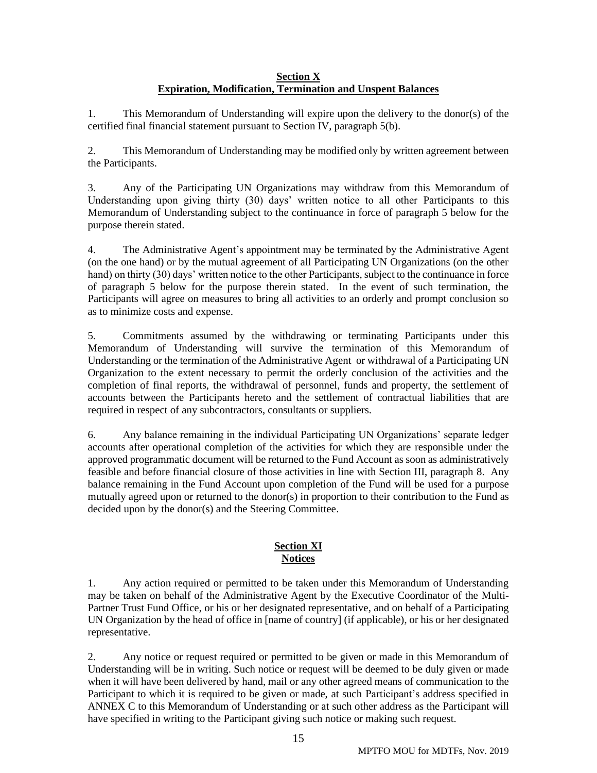# **Section X Expiration, Modification, Termination and Unspent Balances**

1. This Memorandum of Understanding will expire upon the delivery to the donor(s) of the certified final financial statement pursuant to Section IV, paragraph 5(b).

2. This Memorandum of Understanding may be modified only by written agreement between the Participants.

3. Any of the Participating UN Organizations may withdraw from this Memorandum of Understanding upon giving thirty (30) days' written notice to all other Participants to this Memorandum of Understanding subject to the continuance in force of paragraph 5 below for the purpose therein stated.

4. The Administrative Agent's appointment may be terminated by the Administrative Agent (on the one hand) or by the mutual agreement of all Participating UN Organizations (on the other hand) on thirty (30) days' written notice to the other Participants, subject to the continuance in force of paragraph 5 below for the purpose therein stated. In the event of such termination, the Participants will agree on measures to bring all activities to an orderly and prompt conclusion so as to minimize costs and expense.

5. Commitments assumed by the withdrawing or terminating Participants under this Memorandum of Understanding will survive the termination of this Memorandum of Understanding or the termination of the Administrative Agent or withdrawal of a Participating UN Organization to the extent necessary to permit the orderly conclusion of the activities and the completion of final reports, the withdrawal of personnel, funds and property, the settlement of accounts between the Participants hereto and the settlement of contractual liabilities that are required in respect of any subcontractors, consultants or suppliers.

6. Any balance remaining in the individual Participating UN Organizations' separate ledger accounts after operational completion of the activities for which they are responsible under the approved programmatic document will be returned to the Fund Account as soon as administratively feasible and before financial closure of those activities in line with Section III, paragraph 8. Any balance remaining in the Fund Account upon completion of the Fund will be used for a purpose mutually agreed upon or returned to the donor(s) in proportion to their contribution to the Fund as decided upon by the donor(s) and the Steering Committee.

# **Section XI Notices**

1. Any action required or permitted to be taken under this Memorandum of Understanding may be taken on behalf of the Administrative Agent by the Executive Coordinator of the Multi-Partner Trust Fund Office, or his or her designated representative, and on behalf of a Participating UN Organization by the head of office in [name of country] (if applicable), or his or her designated representative.

2. Any notice or request required or permitted to be given or made in this Memorandum of Understanding will be in writing. Such notice or request will be deemed to be duly given or made when it will have been delivered by hand, mail or any other agreed means of communication to the Participant to which it is required to be given or made, at such Participant's address specified in ANNEX C to this Memorandum of Understanding or at such other address as the Participant will have specified in writing to the Participant giving such notice or making such request.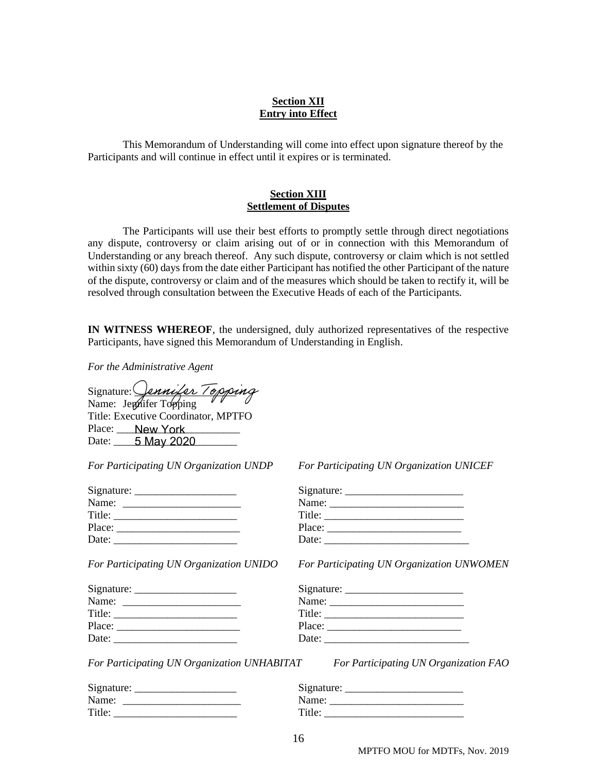## **Section XII Entry into Effect**

This Memorandum of Understanding will come into effect upon signature thereof by the Participants and will continue in effect until it expires or is terminated.

### **Section XIII Settlement of Disputes**

The Participants will use their best efforts to promptly settle through direct negotiations any dispute, controversy or claim arising out of or in connection with this Memorandum of Understanding or any breach thereof. Any such dispute, controversy or claim which is not settled within sixty (60) days from the date either Participant has notified the other Participant of the nature of the dispute, controversy or claim and of the measures which should be taken to rectify it, will be resolved through consultation between the Executive Heads of each of the Participants.

**IN WITNESS WHEREOF**, the undersigned, duly authorized representatives of the respective Participants, have signed this Memorandum of Understanding in English.

*For the Administrative Agent*

| Signature: Jennifer Topping         |            |  |  |
|-------------------------------------|------------|--|--|
| Name: Jephifer Topping              |            |  |  |
| Title: Executive Coordinator, MPTFO |            |  |  |
| Place: New York                     |            |  |  |
| Date:                               | 5 May 2020 |  |  |

*For Participating UN Organization UNDP For Participating UN Organization UNICEF*

| Name:  |  |
|--------|--|
| Title: |  |
| Place: |  |
| Date:  |  |
|        |  |

| Signature: | Signature: |
|------------|------------|
| Name:      | Name:      |
| Title:     | Title:     |
| Place:     | Place:     |

Signature: \_\_\_\_\_\_\_\_\_\_\_\_\_\_\_\_\_\_\_ Signature: \_\_\_\_\_\_\_\_\_\_\_\_\_\_\_\_\_\_\_\_\_\_ Name: \_\_\_\_\_\_\_\_\_\_\_\_\_\_\_\_\_\_\_\_\_\_ Name: \_\_\_\_\_\_\_\_\_\_\_\_\_\_\_\_\_\_\_\_\_\_\_\_\_ Title: Place: \_\_\_\_\_\_\_\_\_\_\_\_\_\_\_\_\_\_\_\_\_\_\_ Place: \_\_\_\_\_\_\_\_\_\_\_\_\_\_\_\_\_\_\_\_\_\_\_\_\_ Date:

*For Participating UN Organization UNIDO For Participating UN Organization UNWOMEN*

| Name:  |                                                                                                                                                                                                                                |  |
|--------|--------------------------------------------------------------------------------------------------------------------------------------------------------------------------------------------------------------------------------|--|
| Title: |                                                                                                                                                                                                                                |  |
|        | Place: the contract of the contract of the contract of the contract of the contract of the contract of the contract of the contract of the contract of the contract of the contract of the contract of the contract of the con |  |
| Date:  |                                                                                                                                                                                                                                |  |
|        |                                                                                                                                                                                                                                |  |

*For Participating UN Organization UNHABITAT For Participating UN Organization FAO*

| Signature: | Signature: |
|------------|------------|
| Name:      | Name:      |
| Title:     | Title:     |

| Signature: | Signature: |
|------------|------------|
| Name:      | Name:      |
| Title:     | Title:     |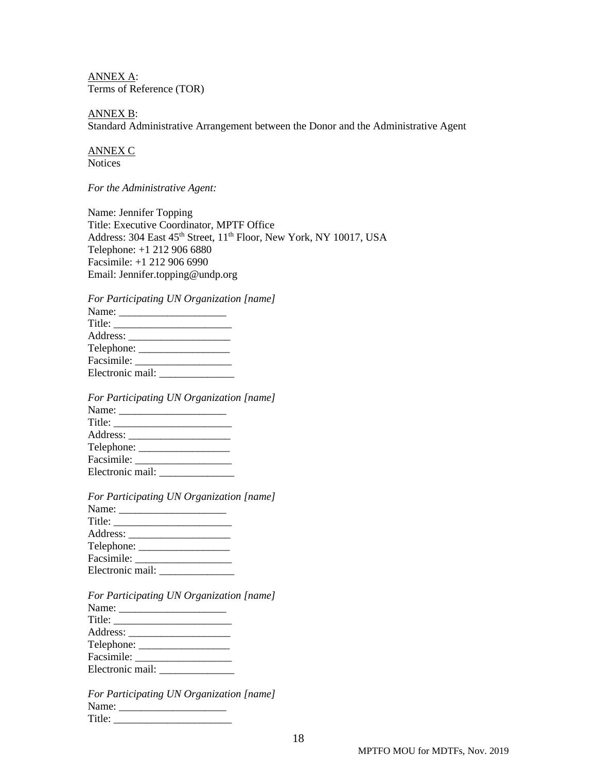ANNEX A: Terms of Reference (TOR)

ANNEX B: Standard Administrative Arrangement between the Donor and the Administrative Agent

ANNEX C **Notices** 

*For the Administrative Agent:* 

Name: Jennifer Topping Title: Executive Coordinator, MPTF Office Address: 304 East 45<sup>th</sup> Street, 11<sup>th</sup> Floor, New York, NY 10017, USA Telephone: +1 212 906 6880 Facsimile: +1 212 906 6990 Email: Jennifer.topping@undp.org

*For Participating UN Organization [name]*

| Facsimile: |  |
|------------|--|
|            |  |

*For Participating UN Organization [name]* Name: \_\_\_\_\_\_\_\_\_\_\_\_\_\_\_\_\_\_\_\_ Title: \_\_\_\_\_\_\_\_\_\_\_\_\_\_\_\_\_\_\_\_\_\_ Address: \_\_\_\_\_\_\_\_\_\_\_\_\_\_\_\_\_\_\_ Telephone: \_\_\_\_\_\_\_\_\_\_\_\_\_\_\_\_\_ Facsimile: \_\_\_\_\_\_\_\_\_\_\_\_\_\_\_\_\_\_ Electronic mail: \_\_\_\_\_\_\_\_\_\_\_\_\_\_

| For Participating UN Organization [name] |  |
|------------------------------------------|--|
|                                          |  |
|                                          |  |
|                                          |  |
|                                          |  |
| Facsimile:                               |  |
|                                          |  |

*For Participating UN Organization [name]* Name: \_\_\_\_\_\_\_\_\_\_\_\_\_\_\_\_\_\_\_\_ Title: \_\_\_\_\_\_\_\_\_\_\_\_\_\_\_\_\_\_\_\_\_\_ Address: \_\_\_\_\_\_\_\_\_\_\_\_\_\_\_\_\_\_\_ Telephone: \_\_\_\_\_\_\_\_\_\_\_\_\_\_\_\_\_ Facsimile: \_\_\_\_\_\_\_\_\_\_\_\_\_\_\_\_\_\_ Electronic mail: \_\_\_\_\_\_\_\_\_\_\_\_\_\_

*For Participating UN Organization [name]* Name: \_\_\_\_\_\_\_\_\_\_\_\_\_\_\_\_\_\_\_\_ Title: \_\_\_\_\_\_\_\_\_\_\_\_\_\_\_\_\_\_\_\_\_\_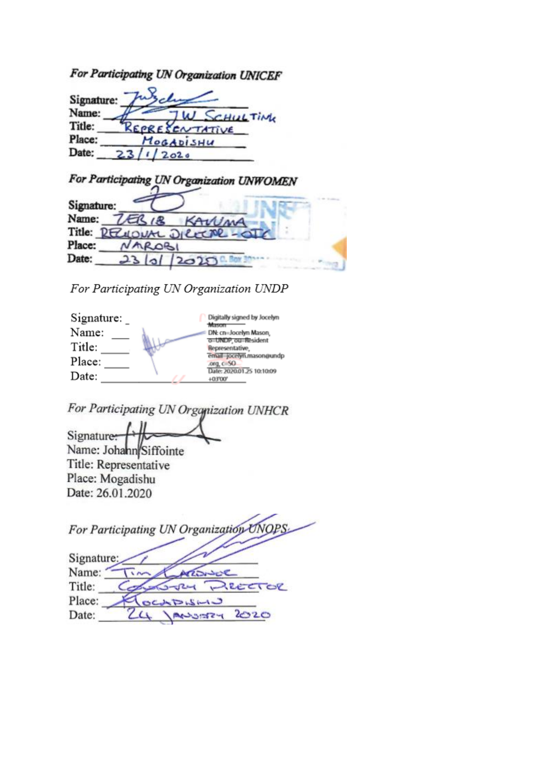For Participating UN Organization UNICEF

| Signature: |                |
|------------|----------------|
| Name:      | CHULTIME       |
| Title:     | REPRESENTATIVE |
| Place:     | MOGADISHU      |
| Date:      | 2020           |

|                              | For Participating UN Organization UNWOMEN |
|------------------------------|-------------------------------------------|
| Signature:                   |                                           |
| Name:<br>ERIB                | KAWMA                                     |
| Title: RECUDIAL DICECTRE-OTC |                                           |
| Place:<br>AROBI              |                                           |
| Date:<br>23 0                | 2020                                      |

For Participating UN Organization UNDP

| Signature: | Digitally signed by Jocelyn<br><b>Manager</b> |
|------------|-----------------------------------------------|
| Name:      | DN: cn=Jocelyn Mason,                         |
| Title:     | o=UNDP, ou=Resident<br>Representative         |
| Place:     | email=jocelyn.mason@undp<br>org. $c$ 50       |
| Date:      | Date: 2020.01.25 10:10:09<br>+03'00'          |

For Participating UN Organization UNHCR

 $\iota$ Signature: Name: Johann Siffointe Title: Representative Place: Mogadishu Date: 26.01.2020

|            | For Participating UN Organization UNOPS |
|------------|-----------------------------------------|
| Signature: |                                         |
| Name:      |                                         |
| Title:     | RECTOR                                  |
| Place:     | CLADISHO                                |
| Date:      | 2020<br><b>HERCLAR</b>                  |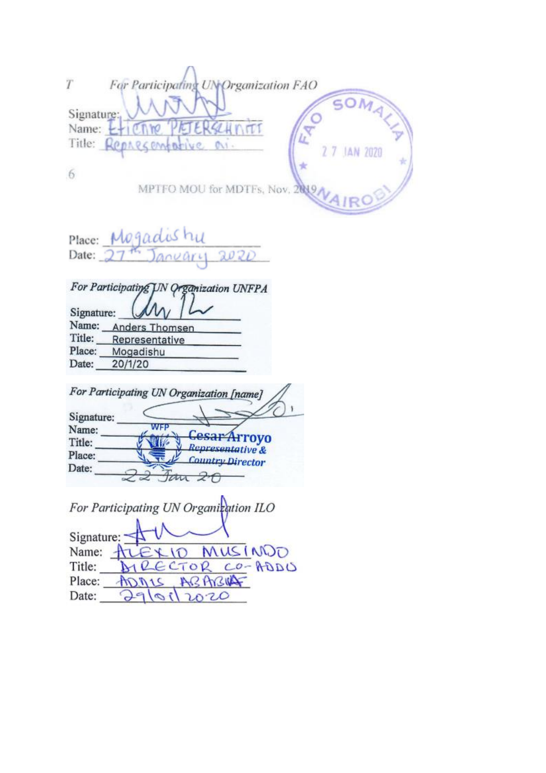| For Participating UN Organization FAO                                               |
|-------------------------------------------------------------------------------------|
| Signature:<br>SCHMITT<br>Name: $-$<br>Ŀ<br>Title: Represementive M.<br>2 7 JAN 2020 |
| 6                                                                                   |
| MPTFO MOU for MDTFs, Nov. 2019,                                                     |
| Place: Mogadishu                                                                    |
| Date: $2744$ January 2020                                                           |
| For Participating UN Organization UNFPA                                             |
| Signature:                                                                          |
| Name: Anders Thomsen                                                                |
| Title: Representative                                                               |
| Place: Mogadishu                                                                    |
| Date: 20/1/20                                                                       |
| For Participating UN Organization [name]                                            |
| Signature:                                                                          |
| <b>WFP</b><br>Name:<br>Cesal<br><b>Arroyo</b>                                       |
| Title:<br>Representative &                                                          |
| Place:<br><b>Country Director</b><br>Date:                                          |
| 20<br>$\sim$                                                                        |
| For Participating UN Organization ILO                                               |
| Signature:                                                                          |
| MUSINDO<br>Name: $\pm 1$                                                            |
| ECTOR CO-ADDU<br>Title:                                                             |
| ABARUAT<br>Place: ADNIS                                                             |
| 79/01<br>Date:<br>2020                                                              |
|                                                                                     |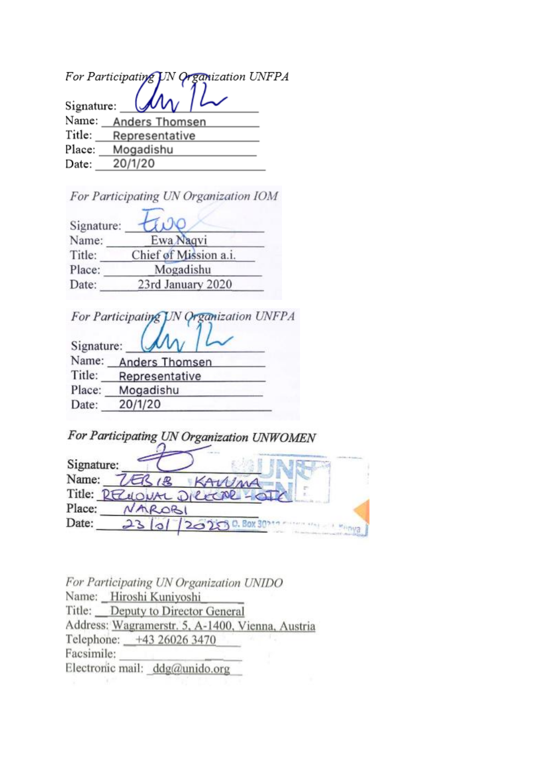|        | For Participating UN Organization UNFPA |
|--------|-----------------------------------------|
|        | Signature: $(\mathcal{M}_V)$            |
| Name:  | <b>Anders Thomsen</b>                   |
| Title: | Representative                          |
| Place: | Mogadishu                               |
| Date:  | 20/1/20                                 |

For Participating UN Organization IOM

| Signature: |                       |
|------------|-----------------------|
| Name:      | Ewa Nagvi             |
| Title:     | Chief of Mission a.i. |
| Place:     | Mogadishu             |
| Date:      | 23rd January 2020     |
|            |                       |

For Participating JN Organization UNFPA

| Signature: |                       |  |  |
|------------|-----------------------|--|--|
| Name:      | <b>Anders Thomsen</b> |  |  |
| Title:     | Representative        |  |  |
| Place:     | Mogadishu             |  |  |
| Date:      | 20/1/20               |  |  |

|            | For Participating UN Organization UNWOMEN |      |       |  |
|------------|-------------------------------------------|------|-------|--|
| Signature: |                                           |      |       |  |
| Name:      | ER 18                                     |      | SAWMA |  |
|            | Title: RECOULT DICCOR-OTE                 |      |       |  |
| Place:     | AROBI                                     |      |       |  |
| Date:      |                                           | 2020 |       |  |

For Participating UN Organization UNIDO Name: Hiroshi Kuniyoshi Title: Deputy to Director General Address: Wagramerstr. 5, A-1400, Vienna, Austria Telephone: +43 26026 3470 Facsimile: Electronic mail: ddg@unido.org -97